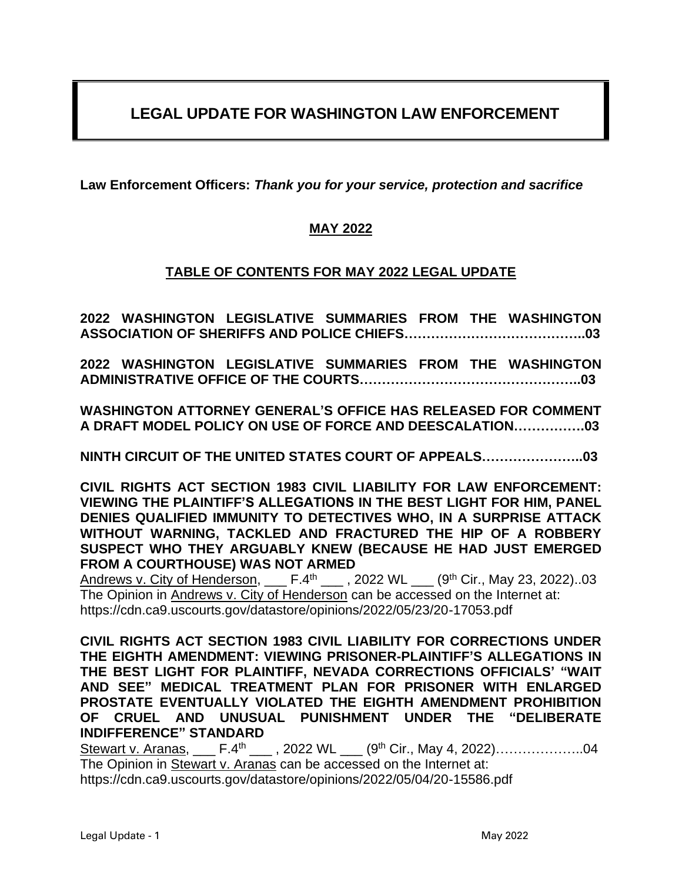# **LEGAL UPDATE FOR WASHINGTON LAW ENFORCEMENT**

**Law Enforcement Officers:** *Thank you for your service, protection and sacrifice*

# **MAY 2022**

## **TABLE OF CONTENTS FOR MAY 2022 LEGAL UPDATE**

**2022 WASHINGTON LEGISLATIVE SUMMARIES FROM THE WASHINGTON ASSOCIATION OF SHERIFFS AND POLICE CHIEFS…………………………………..03**

**2022 WASHINGTON LEGISLATIVE SUMMARIES FROM THE WASHINGTON ADMINISTRATIVE OFFICE OF THE COURTS…………………………………………..03**

**WASHINGTON ATTORNEY GENERAL'S OFFICE HAS RELEASED FOR COMMENT A DRAFT MODEL POLICY ON USE OF FORCE AND DEESCALATION…………….03**

**NINTH CIRCUIT OF THE UNITED STATES COURT OF APPEALS…………………..03**

**CIVIL RIGHTS ACT SECTION 1983 CIVIL LIABILITY FOR LAW ENFORCEMENT: VIEWING THE PLAINTIFF'S ALLEGATIONS IN THE BEST LIGHT FOR HIM, PANEL DENIES QUALIFIED IMMUNITY TO DETECTIVES WHO, IN A SURPRISE ATTACK WITHOUT WARNING, TACKLED AND FRACTURED THE HIP OF A ROBBERY SUSPECT WHO THEY ARGUABLY KNEW (BECAUSE HE HAD JUST EMERGED FROM A COURTHOUSE) WAS NOT ARMED**

Andrews v. City of Henderson, \_\_\_ F.4<sup>th</sup> \_\_\_ , 2022 WL \_\_\_ (9<sup>th</sup> Cir., May 23, 2022)..03 The Opinion in Andrews v. City of Henderson can be accessed on the Internet at: https://cdn.ca9.uscourts.gov/datastore/opinions/2022/05/23/20-17053.pdf

**CIVIL RIGHTS ACT SECTION 1983 CIVIL LIABILITY FOR CORRECTIONS UNDER THE EIGHTH AMENDMENT: VIEWING PRISONER-PLAINTIFF'S ALLEGATIONS IN THE BEST LIGHT FOR PLAINTIFF, NEVADA CORRECTIONS OFFICIALS' "WAIT AND SEE" MEDICAL TREATMENT PLAN FOR PRISONER WITH ENLARGED PROSTATE EVENTUALLY VIOLATED THE EIGHTH AMENDMENT PROHIBITION OF CRUEL AND UNUSUAL PUNISHMENT UNDER THE "DELIBERATE INDIFFERENCE" STANDARD**

Stewart v. Aranas, \_\_\_ F.4<sup>th</sup> \_\_\_ , 2022 WL \_\_\_ (9<sup>th</sup> Cir., May 4, 2022)....................04 The Opinion in Stewart v. Aranas can be accessed on the Internet at: https://cdn.ca9.uscourts.gov/datastore/opinions/2022/05/04/20-15586.pdf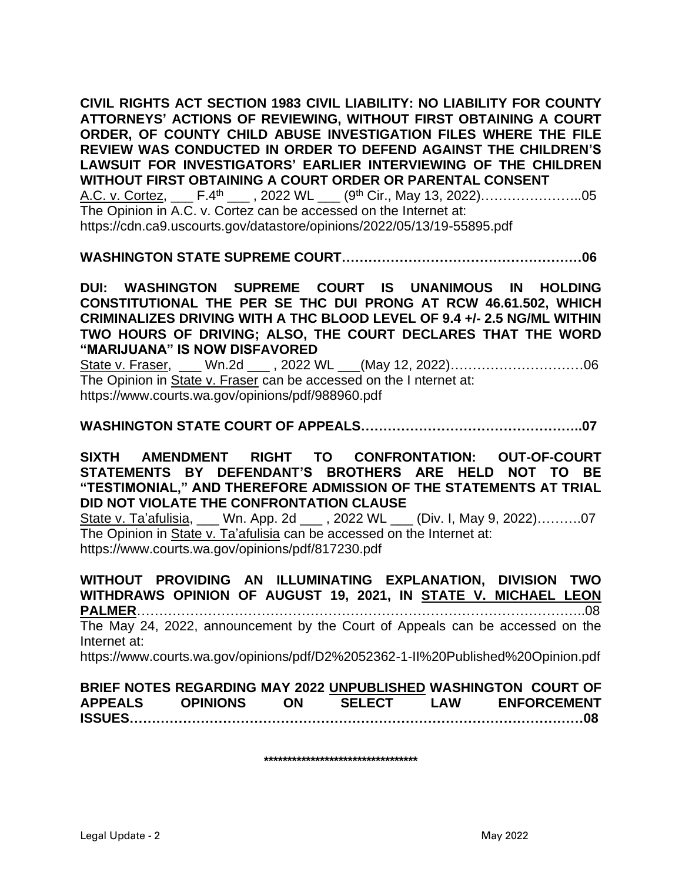**CIVIL RIGHTS ACT SECTION 1983 CIVIL LIABILITY: NO LIABILITY FOR COUNTY ATTORNEYS' ACTIONS OF REVIEWING, WITHOUT FIRST OBTAINING A COURT ORDER, OF COUNTY CHILD ABUSE INVESTIGATION FILES WHERE THE FILE REVIEW WAS CONDUCTED IN ORDER TO DEFEND AGAINST THE CHILDREN'S LAWSUIT FOR INVESTIGATORS' EARLIER INTERVIEWING OF THE CHILDREN WITHOUT FIRST OBTAINING A COURT ORDER OR PARENTAL CONSENT**  A.C. v. Cortez, \_\_\_ F.4<sup>th</sup> \_\_\_, 2022 WL \_\_\_ (9<sup>th</sup> Cir., May 13, 2022)………………………05 The Opinion in A.C. v. Cortez can be accessed on the Internet at: https://cdn.ca9.uscourts.gov/datastore/opinions/2022/05/13/19-55895.pdf

**WASHINGTON STATE SUPREME COURT………………………………………………06**

**DUI: WASHINGTON SUPREME COURT IS UNANIMOUS IN HOLDING CONSTITUTIONAL THE PER SE THC DUI PRONG AT RCW 46.61.502, WHICH CRIMINALIZES DRIVING WITH A THC BLOOD LEVEL OF 9.4 +/- 2.5 NG/ML WITHIN TWO HOURS OF DRIVING; ALSO, THE COURT DECLARES THAT THE WORD "MARIJUANA" IS NOW DISFAVORED**

State v. Fraser, \_\_\_ Wn.2d \_\_\_, 2022 WL \_\_(May 12, 2022)……………………………06 The Opinion in State v. Fraser can be accessed on the I nternet at: https://www.courts.wa.gov/opinions/pdf/988960.pdf

**WASHINGTON STATE COURT OF APPEALS…………………………………………..07**

**SIXTH AMENDMENT RIGHT TO CONFRONTATION: OUT-OF-COURT STATEMENTS BY DEFENDANT'S BROTHERS ARE HELD NOT TO BE "TESTIMONIAL," AND THEREFORE ADMISSION OF THE STATEMENTS AT TRIAL DID NOT VIOLATE THE CONFRONTATION CLAUSE**

State v. Ta'afulisia, \_\_\_ Wn. App. 2d \_\_\_ , 2022 WL \_\_\_ (Div. I, May 9, 2022)……….07 The Opinion in State v. Ta'afulisia can be accessed on the Internet at: https://www.courts.wa.gov/opinions/pdf/817230.pdf

**WITHOUT PROVIDING AN ILLUMINATING EXPLANATION, DIVISION TWO WITHDRAWS OPINION OF AUGUST 19, 2021, IN STATE V. MICHAEL LEON PALMER**………………………………………………………………………………………..08 The May 24, 2022, announcement by the Court of Appeals can be accessed on the Internet at: https://www.courts.wa.gov/opinions/pdf/D2%2052362-1-II%20Published%20Opinion.pdf

**BRIEF NOTES REGARDING MAY 2022 UNPUBLISHED WASHINGTON COURT OF APPEALS OPINIONS ON SELECT LAW ENFORCEMENT ISSUES…………………………………………………………………………………………08** 

**\*\*\*\*\*\*\*\*\*\*\*\*\*\*\*\*\*\*\*\*\*\*\*\*\*\*\*\*\*\*\*\*\***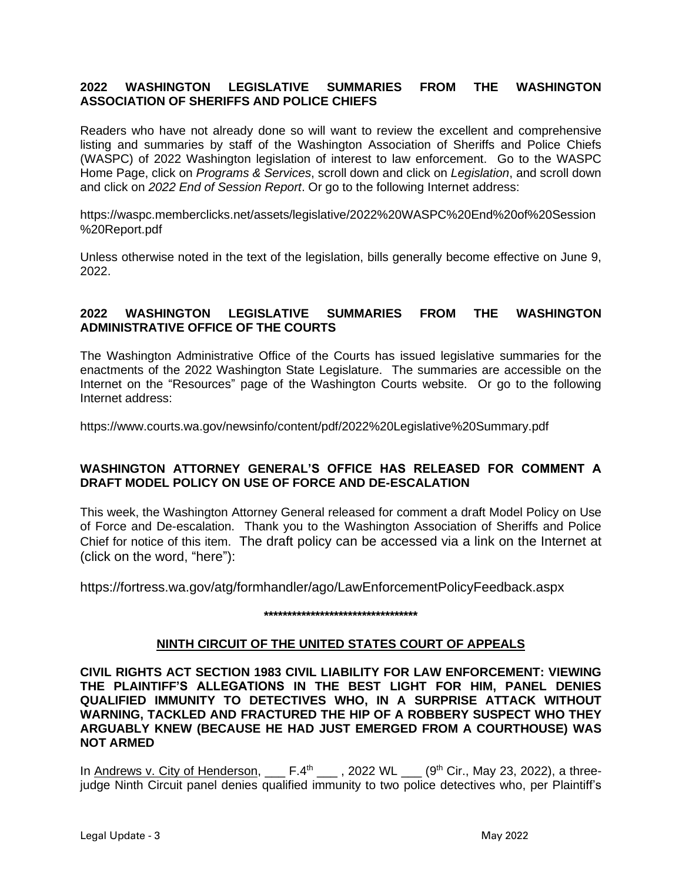### **2022 WASHINGTON LEGISLATIVE SUMMARIES FROM THE WASHINGTON ASSOCIATION OF SHERIFFS AND POLICE CHIEFS**

Readers who have not already done so will want to review the excellent and comprehensive listing and summaries by staff of the Washington Association of Sheriffs and Police Chiefs (WASPC) of 2022 Washington legislation of interest to law enforcement. Go to the WASPC Home Page, click on *Programs & Services*, scroll down and click on *Legislation*, and scroll down and click on *2022 End of Session Report*. Or go to the following Internet address:

https://waspc.memberclicks.net/assets/legislative/2022%20WASPC%20End%20of%20Session %20Report.pdf

Unless otherwise noted in the text of the legislation, bills generally become effective on June 9, 2022.

### **2022 WASHINGTON LEGISLATIVE SUMMARIES FROM THE WASHINGTON ADMINISTRATIVE OFFICE OF THE COURTS**

The Washington Administrative Office of the Courts has issued legislative summaries for the enactments of the 2022 Washington State Legislature. The summaries are accessible on the Internet on the "Resources" page of the Washington Courts website. Or go to the following Internet address:

https://www.courts.wa.gov/newsinfo/content/pdf/2022%20Legislative%20Summary.pdf

### **WASHINGTON ATTORNEY GENERAL'S OFFICE HAS RELEASED FOR COMMENT A DRAFT MODEL POLICY ON USE OF FORCE AND DE-ESCALATION**

This week, the Washington Attorney General released for comment a draft Model Policy on Use of Force and De-escalation. Thank you to the Washington Association of Sheriffs and Police Chief for notice of this item. The draft policy can be accessed via a link on the Internet at (click on the word, "here"):

https://fortress.wa.gov/atg/formhandler/ago/LawEnforcementPolicyFeedback.aspx

#### **\*\*\*\*\*\*\*\*\*\*\*\*\*\*\*\*\*\*\*\*\*\*\*\*\*\*\*\*\*\*\*\*\***

### **NINTH CIRCUIT OF THE UNITED STATES COURT OF APPEALS**

**CIVIL RIGHTS ACT SECTION 1983 CIVIL LIABILITY FOR LAW ENFORCEMENT: VIEWING THE PLAINTIFF'S ALLEGATIONS IN THE BEST LIGHT FOR HIM, PANEL DENIES QUALIFIED IMMUNITY TO DETECTIVES WHO, IN A SURPRISE ATTACK WITHOUT WARNING, TACKLED AND FRACTURED THE HIP OF A ROBBERY SUSPECT WHO THEY ARGUABLY KNEW (BECAUSE HE HAD JUST EMERGED FROM A COURTHOUSE) WAS NOT ARMED**

In Andrews v. City of Henderson,  $\_\_$  F.4<sup>th</sup>  $\_\_$ , 2022 WL  $\_\_$  (9<sup>th</sup> Cir., May 23, 2022), a threejudge Ninth Circuit panel denies qualified immunity to two police detectives who, per Plaintiff's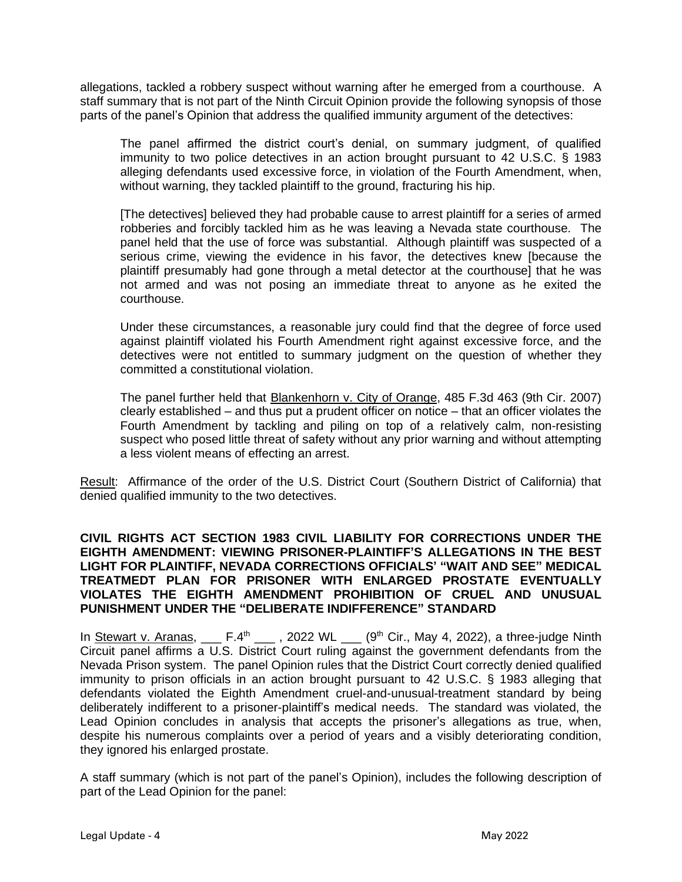allegations, tackled a robbery suspect without warning after he emerged from a courthouse. A staff summary that is not part of the Ninth Circuit Opinion provide the following synopsis of those parts of the panel's Opinion that address the qualified immunity argument of the detectives:

The panel affirmed the district court's denial, on summary judgment, of qualified immunity to two police detectives in an action brought pursuant to 42 U.S.C. § 1983 alleging defendants used excessive force, in violation of the Fourth Amendment, when, without warning, they tackled plaintiff to the ground, fracturing his hip.

[The detectives] believed they had probable cause to arrest plaintiff for a series of armed robberies and forcibly tackled him as he was leaving a Nevada state courthouse. The panel held that the use of force was substantial. Although plaintiff was suspected of a serious crime, viewing the evidence in his favor, the detectives knew [because the plaintiff presumably had gone through a metal detector at the courthouse] that he was not armed and was not posing an immediate threat to anyone as he exited the courthouse.

Under these circumstances, a reasonable jury could find that the degree of force used against plaintiff violated his Fourth Amendment right against excessive force, and the detectives were not entitled to summary judgment on the question of whether they committed a constitutional violation.

The panel further held that **Blankenhorn v. City of Orange**, 485 F.3d 463 (9th Cir. 2007) clearly established – and thus put a prudent officer on notice – that an officer violates the Fourth Amendment by tackling and piling on top of a relatively calm, non-resisting suspect who posed little threat of safety without any prior warning and without attempting a less violent means of effecting an arrest.

Result: Affirmance of the order of the U.S. District Court (Southern District of California) that denied qualified immunity to the two detectives.

### **CIVIL RIGHTS ACT SECTION 1983 CIVIL LIABILITY FOR CORRECTIONS UNDER THE EIGHTH AMENDMENT: VIEWING PRISONER-PLAINTIFF'S ALLEGATIONS IN THE BEST LIGHT FOR PLAINTIFF, NEVADA CORRECTIONS OFFICIALS' "WAIT AND SEE" MEDICAL TREATMEDT PLAN FOR PRISONER WITH ENLARGED PROSTATE EVENTUALLY VIOLATES THE EIGHTH AMENDMENT PROHIBITION OF CRUEL AND UNUSUAL PUNISHMENT UNDER THE "DELIBERATE INDIFFERENCE" STANDARD**

In Stewart v. Aranas,  $\mu$ <sup>th</sup> \_\_\_, 2022 WL \_\_\_ (9<sup>th</sup> Cir., May 4, 2022), a three-judge Ninth Circuit panel affirms a U.S. District Court ruling against the government defendants from the Nevada Prison system. The panel Opinion rules that the District Court correctly denied qualified immunity to prison officials in an action brought pursuant to 42 U.S.C. § 1983 alleging that defendants violated the Eighth Amendment cruel-and-unusual-treatment standard by being deliberately indifferent to a prisoner-plaintiff's medical needs. The standard was violated, the Lead Opinion concludes in analysis that accepts the prisoner's allegations as true, when, despite his numerous complaints over a period of years and a visibly deteriorating condition, they ignored his enlarged prostate.

A staff summary (which is not part of the panel's Opinion), includes the following description of part of the Lead Opinion for the panel: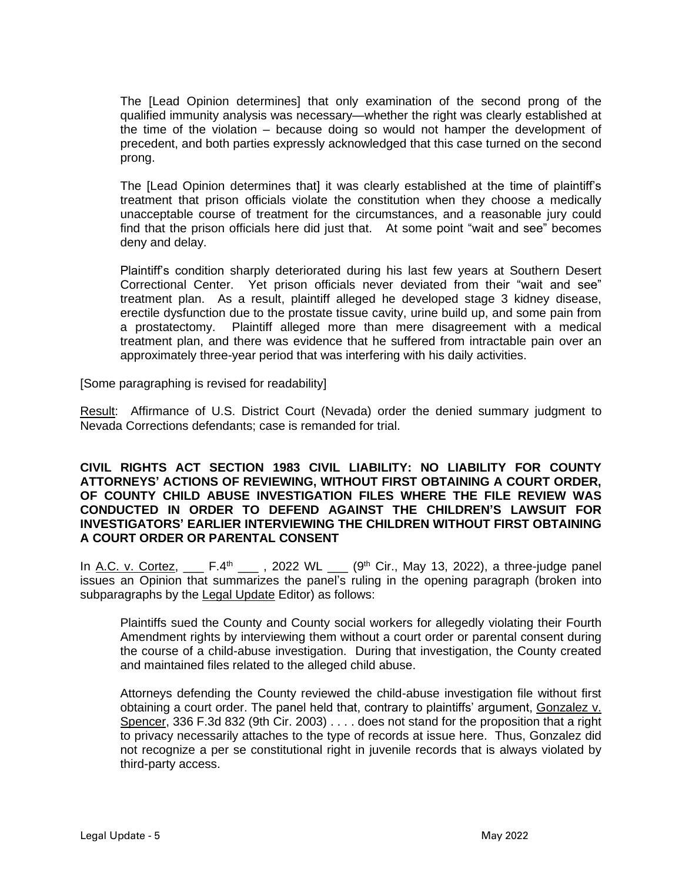The [Lead Opinion determines] that only examination of the second prong of the qualified immunity analysis was necessary—whether the right was clearly established at the time of the violation – because doing so would not hamper the development of precedent, and both parties expressly acknowledged that this case turned on the second prong.

The [Lead Opinion determines that] it was clearly established at the time of plaintiff's treatment that prison officials violate the constitution when they choose a medically unacceptable course of treatment for the circumstances, and a reasonable jury could find that the prison officials here did just that. At some point "wait and see" becomes deny and delay.

Plaintiff's condition sharply deteriorated during his last few years at Southern Desert Correctional Center. Yet prison officials never deviated from their "wait and see" treatment plan. As a result, plaintiff alleged he developed stage 3 kidney disease, erectile dysfunction due to the prostate tissue cavity, urine build up, and some pain from a prostatectomy. Plaintiff alleged more than mere disagreement with a medical treatment plan, and there was evidence that he suffered from intractable pain over an approximately three-year period that was interfering with his daily activities.

[Some paragraphing is revised for readability]

Result: Affirmance of U.S. District Court (Nevada) order the denied summary judgment to Nevada Corrections defendants; case is remanded for trial.

### **CIVIL RIGHTS ACT SECTION 1983 CIVIL LIABILITY: NO LIABILITY FOR COUNTY ATTORNEYS' ACTIONS OF REVIEWING, WITHOUT FIRST OBTAINING A COURT ORDER, OF COUNTY CHILD ABUSE INVESTIGATION FILES WHERE THE FILE REVIEW WAS CONDUCTED IN ORDER TO DEFEND AGAINST THE CHILDREN'S LAWSUIT FOR INVESTIGATORS' EARLIER INTERVIEWING THE CHILDREN WITHOUT FIRST OBTAINING A COURT ORDER OR PARENTAL CONSENT**

In A.C. v. Cortez,  $\mu$  F.4<sup>th</sup>  $\mu$ , 2022 WL  $\mu$  (9<sup>th</sup> Cir., May 13, 2022), a three-judge panel issues an Opinion that summarizes the panel's ruling in the opening paragraph (broken into subparagraphs by the Legal Update Editor) as follows:

Plaintiffs sued the County and County social workers for allegedly violating their Fourth Amendment rights by interviewing them without a court order or parental consent during the course of a child-abuse investigation. During that investigation, the County created and maintained files related to the alleged child abuse.

Attorneys defending the County reviewed the child-abuse investigation file without first obtaining a court order. The panel held that, contrary to plaintiffs' argument, Gonzalez v. Spencer, 336 F.3d 832 (9th Cir. 2003) . . . . does not stand for the proposition that a right to privacy necessarily attaches to the type of records at issue here. Thus, Gonzalez did not recognize a per se constitutional right in juvenile records that is always violated by third-party access.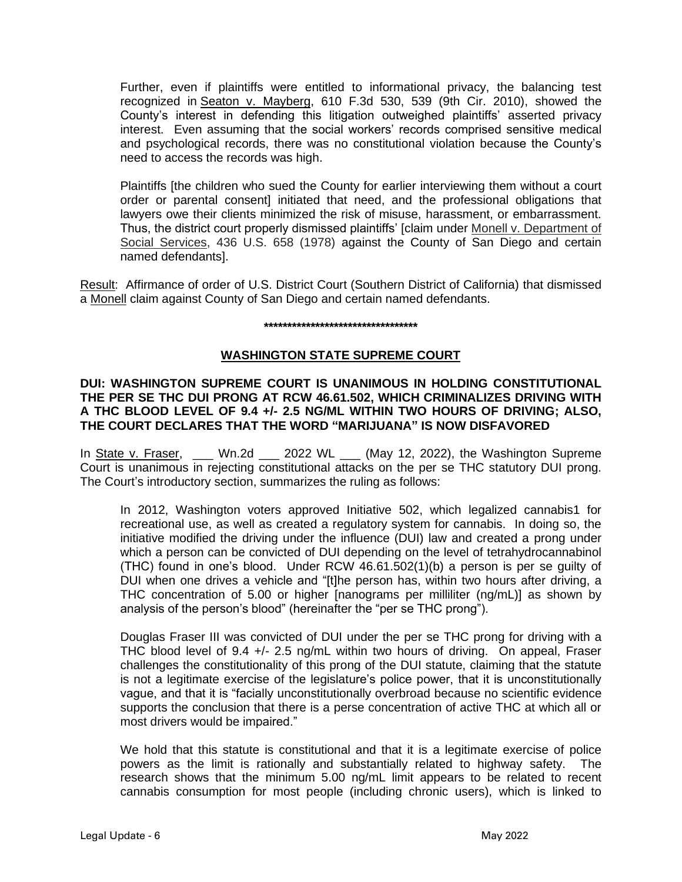Further, even if plaintiffs were entitled to informational privacy, the balancing test recognized in Seaton v. Mayberg, 610 F.3d 530, 539 (9th Cir. 2010), showed the County's interest in defending this litigation outweighed plaintiffs' asserted privacy interest. Even assuming that the social workers' records comprised sensitive medical and psychological records, there was no constitutional violation because the County's need to access the records was high.

Plaintiffs [the children who sued the County for earlier interviewing them without a court order or parental consent] initiated that need, and the professional obligations that lawyers owe their clients minimized the risk of misuse, harassment, or embarrassment. Thus, the district court properly dismissed plaintiffs' [claim under Monell v. Department of Social Services, 436 U.S. 658 (1978) against the County of San Diego and certain named defendants].

Result: Affirmance of order of U.S. District Court (Southern District of California) that dismissed a Monell claim against County of San Diego and certain named defendants.

#### **\*\*\*\*\*\*\*\*\*\*\*\*\*\*\*\*\*\*\*\*\*\*\*\*\*\*\*\*\*\*\*\*\***

### **WASHINGTON STATE SUPREME COURT**

**DUI: WASHINGTON SUPREME COURT IS UNANIMOUS IN HOLDING CONSTITUTIONAL THE PER SE THC DUI PRONG AT RCW 46.61.502, WHICH CRIMINALIZES DRIVING WITH A THC BLOOD LEVEL OF 9.4 +/- 2.5 NG/ML WITHIN TWO HOURS OF DRIVING; ALSO, THE COURT DECLARES THAT THE WORD "MARIJUANA" IS NOW DISFAVORED**

In State v. Fraser, \_\_\_ Wn.2d \_\_\_ 2022 WL \_\_\_ (May 12, 2022), the Washington Supreme Court is unanimous in rejecting constitutional attacks on the per se THC statutory DUI prong. The Court's introductory section, summarizes the ruling as follows:

In 2012, Washington voters approved Initiative 502, which legalized cannabis1 for recreational use, as well as created a regulatory system for cannabis. In doing so, the initiative modified the driving under the influence (DUI) law and created a prong under which a person can be convicted of DUI depending on the level of tetrahydrocannabinol (THC) found in one's blood. Under RCW 46.61.502(1)(b) a person is per se guilty of DUI when one drives a vehicle and "[t]he person has, within two hours after driving, a THC concentration of 5.00 or higher [nanograms per milliliter (ng/mL)] as shown by analysis of the person's blood" (hereinafter the "per se THC prong").

Douglas Fraser III was convicted of DUI under the per se THC prong for driving with a THC blood level of 9.4 +/- 2.5 ng/mL within two hours of driving. On appeal, Fraser challenges the constitutionality of this prong of the DUI statute, claiming that the statute is not a legitimate exercise of the legislature's police power, that it is unconstitutionally vague, and that it is "facially unconstitutionally overbroad because no scientific evidence supports the conclusion that there is a perse concentration of active THC at which all or most drivers would be impaired."

We hold that this statute is constitutional and that it is a legitimate exercise of police powers as the limit is rationally and substantially related to highway safety. The research shows that the minimum 5.00 ng/mL limit appears to be related to recent cannabis consumption for most people (including chronic users), which is linked to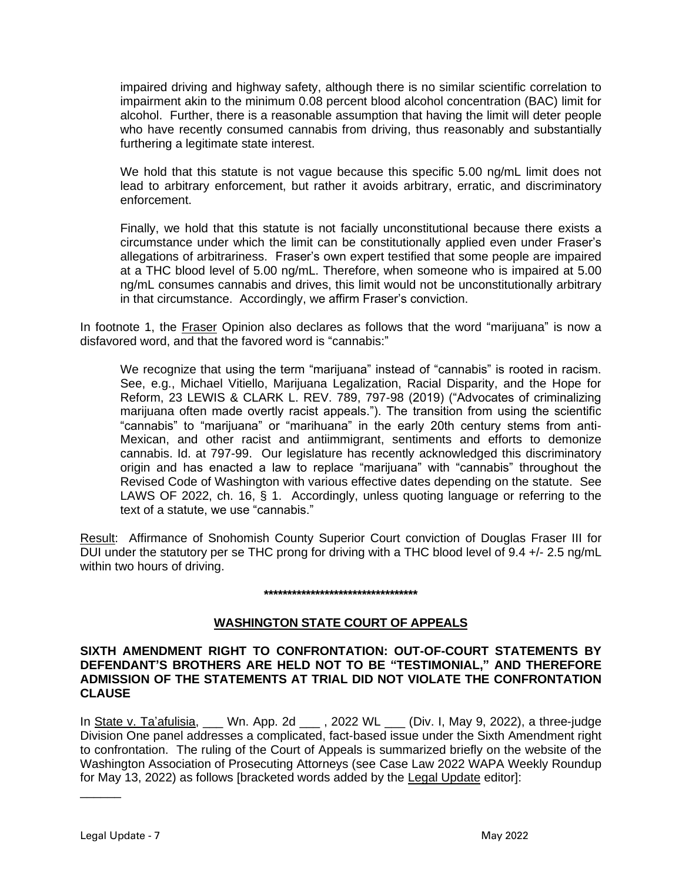impaired driving and highway safety, although there is no similar scientific correlation to impairment akin to the minimum 0.08 percent blood alcohol concentration (BAC) limit for alcohol. Further, there is a reasonable assumption that having the limit will deter people who have recently consumed cannabis from driving, thus reasonably and substantially furthering a legitimate state interest.

We hold that this statute is not vague because this specific 5.00 ng/mL limit does not lead to arbitrary enforcement, but rather it avoids arbitrary, erratic, and discriminatory enforcement.

Finally, we hold that this statute is not facially unconstitutional because there exists a circumstance under which the limit can be constitutionally applied even under Fraser's allegations of arbitrariness. Fraser's own expert testified that some people are impaired at a THC blood level of 5.00 ng/mL. Therefore, when someone who is impaired at 5.00 ng/mL consumes cannabis and drives, this limit would not be unconstitutionally arbitrary in that circumstance. Accordingly, we affirm Fraser's conviction.

In footnote 1, the Fraser Opinion also declares as follows that the word "marijuana" is now a disfavored word, and that the favored word is "cannabis:"

We recognize that using the term "marijuana" instead of "cannabis" is rooted in racism. See, e.g., Michael Vitiello, Marijuana Legalization, Racial Disparity, and the Hope for Reform, 23 LEWIS & CLARK L. REV. 789, 797-98 (2019) ("Advocates of criminalizing marijuana often made overtly racist appeals."). The transition from using the scientific "cannabis" to "marijuana" or "marihuana" in the early 20th century stems from anti-Mexican, and other racist and antiimmigrant, sentiments and efforts to demonize cannabis. Id. at 797-99. Our legislature has recently acknowledged this discriminatory origin and has enacted a law to replace "marijuana" with "cannabis" throughout the Revised Code of Washington with various effective dates depending on the statute. See LAWS OF 2022, ch. 16, § 1. Accordingly, unless quoting language or referring to the text of a statute, we use "cannabis."

Result: Affirmance of Snohomish County Superior Court conviction of Douglas Fraser III for DUI under the statutory per se THC prong for driving with a THC blood level of 9.4 +/- 2.5 ng/mL within two hours of driving.

#### **\*\*\*\*\*\*\*\*\*\*\*\*\*\*\*\*\*\*\*\*\*\*\*\*\*\*\*\*\*\*\*\*\***

### **WASHINGTON STATE COURT OF APPEALS**

### **SIXTH AMENDMENT RIGHT TO CONFRONTATION: OUT-OF-COURT STATEMENTS BY DEFENDANT'S BROTHERS ARE HELD NOT TO BE "TESTIMONIAL," AND THEREFORE ADMISSION OF THE STATEMENTS AT TRIAL DID NOT VIOLATE THE CONFRONTATION CLAUSE**

In State v. Ta'afulisia, \_\_\_ Wn. App. 2d \_\_\_, 2022 WL \_\_ (Div. I, May 9, 2022), a three-judge Division One panel addresses a complicated, fact-based issue under the Sixth Amendment right to confrontation. The ruling of the Court of Appeals is summarized briefly on the website of the Washington Association of Prosecuting Attorneys (see Case Law 2022 WAPA Weekly Roundup for May 13, 2022) as follows [bracketed words added by the Legal Update editor]:

\_\_\_\_\_\_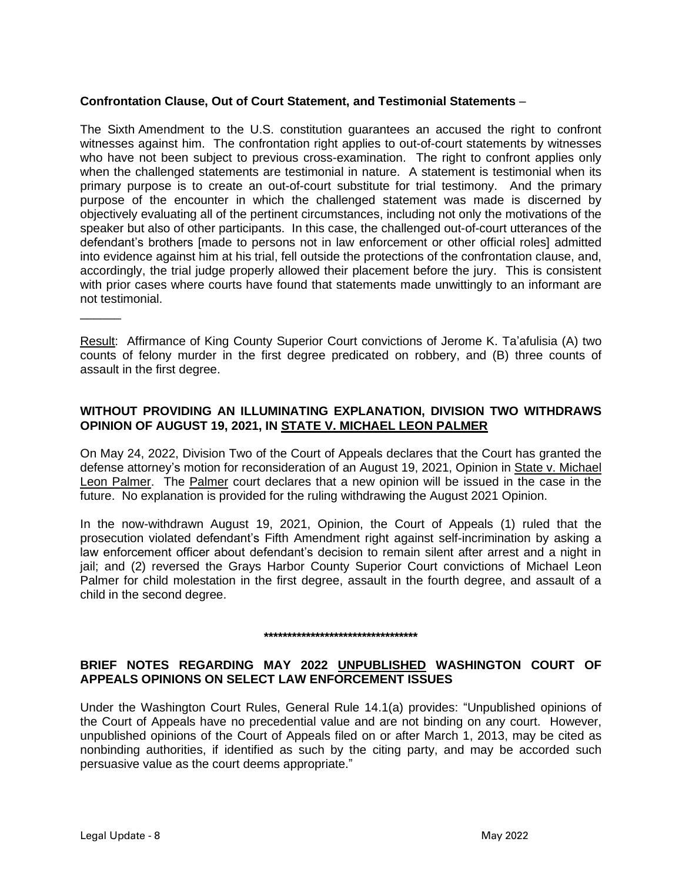### **Confrontation Clause, Out of Court Statement, and Testimonial Statements** –

The Sixth Amendment to the U.S. constitution guarantees an accused the right to confront witnesses against him. The confrontation right applies to out-of-court statements by witnesses who have not been subject to previous cross-examination. The right to confront applies only when the challenged statements are testimonial in nature. A statement is testimonial when its primary purpose is to create an out-of-court substitute for trial testimony. And the primary purpose of the encounter in which the challenged statement was made is discerned by objectively evaluating all of the pertinent circumstances, including not only the motivations of the speaker but also of other participants. In this case, the challenged out-of-court utterances of the defendant's brothers [made to persons not in law enforcement or other official roles] admitted into evidence against him at his trial, fell outside the protections of the confrontation clause, and, accordingly, the trial judge properly allowed their placement before the jury. This is consistent with prior cases where courts have found that statements made unwittingly to an informant are not testimonial.

Result: Affirmance of King County Superior Court convictions of Jerome K. Ta'afulisia (A) two counts of felony murder in the first degree predicated on robbery, and (B) three counts of assault in the first degree.

### **WITHOUT PROVIDING AN ILLUMINATING EXPLANATION, DIVISION TWO WITHDRAWS OPINION OF AUGUST 19, 2021, IN STATE V. MICHAEL LEON PALMER**

On May 24, 2022, Division Two of the Court of Appeals declares that the Court has granted the defense attorney's motion for reconsideration of an August 19, 2021, Opinion in State v. Michael Leon Palmer. The Palmer court declares that a new opinion will be issued in the case in the future. No explanation is provided for the ruling withdrawing the August 2021 Opinion.

In the now-withdrawn August 19, 2021, Opinion, the Court of Appeals (1) ruled that the prosecution violated defendant's Fifth Amendment right against self-incrimination by asking a law enforcement officer about defendant's decision to remain silent after arrest and a night in jail; and (2) reversed the Grays Harbor County Superior Court convictions of Michael Leon Palmer for child molestation in the first degree, assault in the fourth degree, and assault of a child in the second degree.

#### **\*\*\*\*\*\*\*\*\*\*\*\*\*\*\*\*\*\*\*\*\*\*\*\*\*\*\*\*\*\*\*\*\***

### **BRIEF NOTES REGARDING MAY 2022 UNPUBLISHED WASHINGTON COURT OF APPEALS OPINIONS ON SELECT LAW ENFORCEMENT ISSUES**

Under the Washington Court Rules, General Rule 14.1(a) provides: "Unpublished opinions of the Court of Appeals have no precedential value and are not binding on any court. However, unpublished opinions of the Court of Appeals filed on or after March 1, 2013, may be cited as nonbinding authorities, if identified as such by the citing party, and may be accorded such persuasive value as the court deems appropriate."

 $\overline{\phantom{a}}$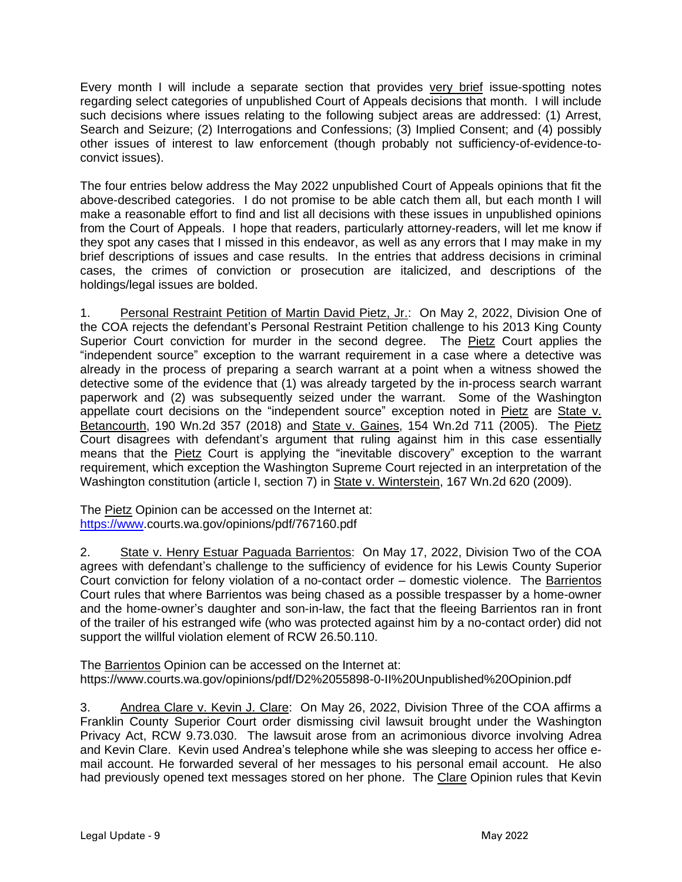Every month I will include a separate section that provides very brief issue-spotting notes regarding select categories of unpublished Court of Appeals decisions that month. I will include such decisions where issues relating to the following subject areas are addressed: (1) Arrest, Search and Seizure; (2) Interrogations and Confessions; (3) Implied Consent; and (4) possibly other issues of interest to law enforcement (though probably not sufficiency-of-evidence-toconvict issues).

The four entries below address the May 2022 unpublished Court of Appeals opinions that fit the above-described categories. I do not promise to be able catch them all, but each month I will make a reasonable effort to find and list all decisions with these issues in unpublished opinions from the Court of Appeals. I hope that readers, particularly attorney-readers, will let me know if they spot any cases that I missed in this endeavor, as well as any errors that I may make in my brief descriptions of issues and case results. In the entries that address decisions in criminal cases, the crimes of conviction or prosecution are italicized, and descriptions of the holdings/legal issues are bolded.

1. Personal Restraint Petition of Martin David Pietz, Jr.: On May 2, 2022, Division One of the COA rejects the defendant's Personal Restraint Petition challenge to his 2013 King County Superior Court conviction for murder in the second degree. The Pietz Court applies the "independent source" exception to the warrant requirement in a case where a detective was already in the process of preparing a search warrant at a point when a witness showed the detective some of the evidence that (1) was already targeted by the in-process search warrant paperwork and (2) was subsequently seized under the warrant. Some of the Washington appellate court decisions on the "independent source" exception noted in Pietz are State v. Betancourth, 190 Wn.2d 357 (2018) and State v. Gaines, 154 Wn.2d 711 (2005). The Pietz Court disagrees with defendant's argument that ruling against him in this case essentially means that the Pietz Court is applying the "inevitable discovery" exception to the warrant requirement, which exception the Washington Supreme Court rejected in an interpretation of the Washington constitution (article I, section 7) in State v. Winterstein, 167 Wn.2d 620 (2009).

The Pietz Opinion can be accessed on the Internet at: [https://www.](https://www/)courts.wa.gov/opinions/pdf/767160.pdf

2. State v. Henry Estuar Paguada Barrientos: On May 17, 2022, Division Two of the COA agrees with defendant's challenge to the sufficiency of evidence for his Lewis County Superior Court conviction for felony violation of a no-contact order – domestic violence. The Barrientos Court rules that where Barrientos was being chased as a possible trespasser by a home-owner and the home-owner's daughter and son-in-law, the fact that the fleeing Barrientos ran in front of the trailer of his estranged wife (who was protected against him by a no-contact order) did not support the willful violation element of RCW 26.50.110.

The Barrientos Opinion can be accessed on the Internet at: https://www.courts.wa.gov/opinions/pdf/D2%2055898-0-II%20Unpublished%20Opinion.pdf

3. Andrea Clare v. Kevin J. Clare: On May 26, 2022, Division Three of the COA affirms a Franklin County Superior Court order dismissing civil lawsuit brought under the Washington Privacy Act, RCW 9.73.030. The lawsuit arose from an acrimonious divorce involving Adrea and Kevin Clare. Kevin used Andrea's telephone while she was sleeping to access her office email account. He forwarded several of her messages to his personal email account. He also had previously opened text messages stored on her phone. The Clare Opinion rules that Kevin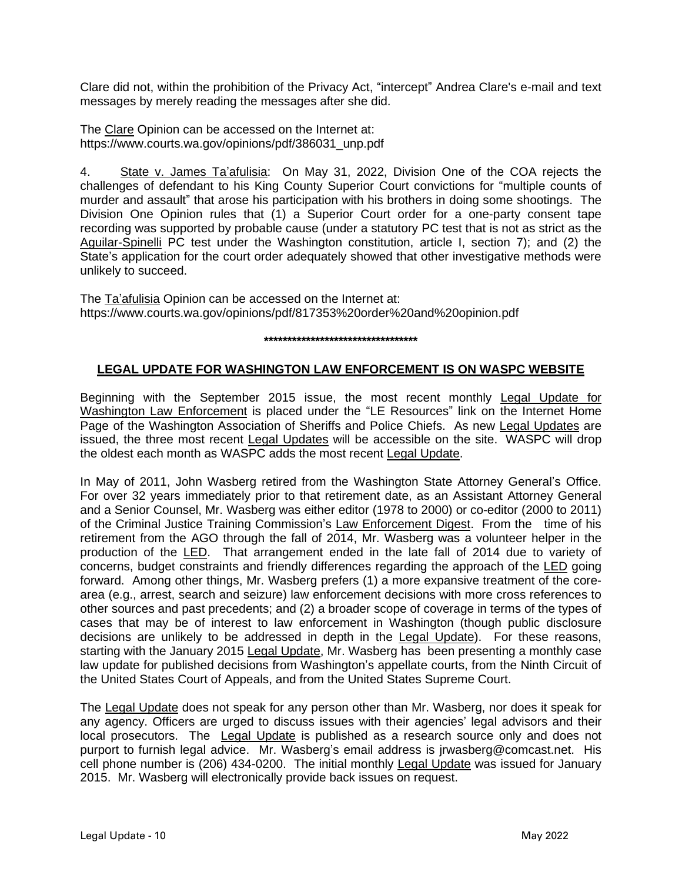Clare did not, within the prohibition of the Privacy Act, "intercept" Andrea Clare's e-mail and text messages by merely reading the messages after she did.

The Clare Opinion can be accessed on the Internet at: https://www.courts.wa.gov/opinions/pdf/386031\_unp.pdf

4. State v. James Ta'afulisia: On May 31, 2022, Division One of the COA rejects the challenges of defendant to his King County Superior Court convictions for "multiple counts of murder and assault" that arose his participation with his brothers in doing some shootings. The Division One Opinion rules that (1) a Superior Court order for a one-party consent tape recording was supported by probable cause (under a statutory PC test that is not as strict as the Aguilar-Spinelli PC test under the Washington constitution, article I, section 7); and (2) the State's application for the court order adequately showed that other investigative methods were unlikely to succeed.

The Ta'afulisia Opinion can be accessed on the Internet at: https://www.courts.wa.gov/opinions/pdf/817353%20order%20and%20opinion.pdf

**\*\*\*\*\*\*\*\*\*\*\*\*\*\*\*\*\*\*\*\*\*\*\*\*\*\*\*\*\*\*\*\*\***

### **LEGAL UPDATE FOR WASHINGTON LAW ENFORCEMENT IS ON WASPC WEBSITE**

Beginning with the September 2015 issue, the most recent monthly Legal Update for Washington Law Enforcement is placed under the "LE Resources" link on the Internet Home Page of the Washington Association of Sheriffs and Police Chiefs. As new Legal Updates are issued, the three most recent Legal Updates will be accessible on the site. WASPC will drop the oldest each month as WASPC adds the most recent Legal Update.

In May of 2011, John Wasberg retired from the Washington State Attorney General's Office. For over 32 years immediately prior to that retirement date, as an Assistant Attorney General and a Senior Counsel, Mr. Wasberg was either editor (1978 to 2000) or co-editor (2000 to 2011) of the Criminal Justice Training Commission's Law Enforcement Digest. From the time of his retirement from the AGO through the fall of 2014, Mr. Wasberg was a volunteer helper in the production of the LED. That arrangement ended in the late fall of 2014 due to variety of concerns, budget constraints and friendly differences regarding the approach of the LED going forward. Among other things, Mr. Wasberg prefers (1) a more expansive treatment of the corearea (e.g., arrest, search and seizure) law enforcement decisions with more cross references to other sources and past precedents; and (2) a broader scope of coverage in terms of the types of cases that may be of interest to law enforcement in Washington (though public disclosure decisions are unlikely to be addressed in depth in the Legal Update). For these reasons, starting with the January 2015 Legal Update, Mr. Wasberg has been presenting a monthly case law update for published decisions from Washington's appellate courts, from the Ninth Circuit of the United States Court of Appeals, and from the United States Supreme Court.

The Legal Update does not speak for any person other than Mr. Wasberg, nor does it speak for any agency. Officers are urged to discuss issues with their agencies' legal advisors and their local prosecutors. The Legal Update is published as a research source only and does not purport to furnish legal advice. Mr. Wasberg's email address is jrwasberg@comcast.net. His cell phone number is (206) 434-0200. The initial monthly Legal Update was issued for January 2015. Mr. Wasberg will electronically provide back issues on request.